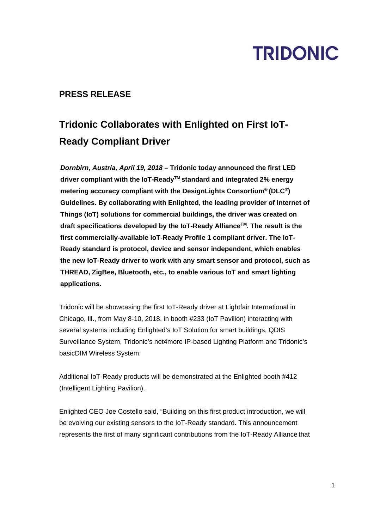# **TRIDONIC**

### **PRESS RELEASE**

### **Tridonic Collaborates with Enlighted on First IoT-Ready Compliant Driver**

*Dornbirn, Austria, April 19, 2018* **– Tridonic today announced the first LED driver compliant with the IoT-ReadyTM standard and integrated 2% energy metering accuracy compliant with the DesignLights Consortium® (DLC®) Guidelines. By collaborating with Enlighted, the leading provider of Internet of Things (IoT) solutions for commercial buildings, the driver was created on draft specifications developed by the IoT-Ready AllianceTM. The result is the first commercially-available IoT-Ready Profile 1 compliant driver. The IoT-Ready standard is protocol, device and sensor independent, which enables the new IoT-Ready driver to work with any smart sensor and protocol, such as THREAD, ZigBee, Bluetooth, etc., to enable various IoT and smart lighting applications.** 

Tridonic will be showcasing the first IoT-Ready driver at Lightfair International in Chicago, Ill., from May 8-10, 2018, in booth #233 (IoT Pavilion) interacting with several systems including Enlighted's IoT Solution for smart buildings, QDIS Surveillance System, Tridonic's net4more IP-based Lighting Platform and Tridonic's basicDIM Wireless System.

Additional IoT-Ready products will be demonstrated at the Enlighted booth #412 (Intelligent Lighting Pavilion).

Enlighted CEO Joe Costello said, "Building on this first product introduction, we will be evolving our existing sensors to the IoT-Ready standard. This announcement represents the first of many significant contributions from the IoT-Ready Alliance that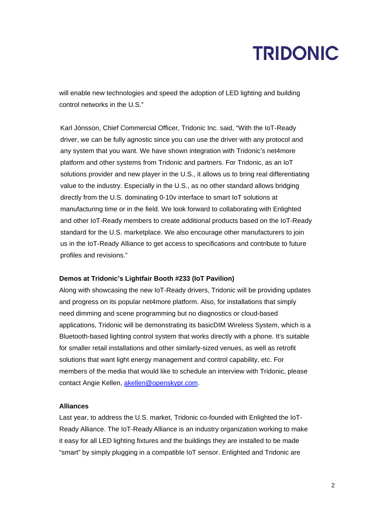### **TRIDONIC**

will enable new technologies and speed the adoption of LED lighting and building control networks in the U.S."

Karl Jónsson, Chief Commercial Officer, Tridonic Inc. said, "With the IoT-Ready driver, we can be fully agnostic since you can use the driver with any protocol and any system that you want. We have shown integration with Tridonic's net4more platform and other systems from Tridonic and partners. For Tridonic, as an IoT solutions provider and new player in the U.S., it allows us to bring real differentiating value to the industry. Especially in the U.S., as no other standard allows bridging directly from the U.S. dominating 0-10v interface to smart IoT solutions at manufacturing time or in the field. We look forward to collaborating with Enlighted and other IoT-Ready members to create additional products based on the IoT-Ready standard for the U.S. marketplace. We also encourage other manufacturers to join us in the IoT-Ready Alliance to get access to specifications and contribute to future profiles and revisions."

#### **Demos at Tridonic's Lightfair Booth #233 (IoT Pavilion)**

Along with showcasing the new IoT-Ready drivers, Tridonic will be providing updates and progress on its popular net4more platform. Also, for installations that simply need dimming and scene programming but no diagnostics or cloud-based applications, Tridonic will be demonstrating its basicDIM Wireless System, which is a Bluetooth-based lighting control system that works directly with a phone. It's suitable for smaller retail installations and other similarly-sized venues, as well as retrofit solutions that want light energy management and control capability, etc. For members of the media that would like to schedule an interview with Tridonic, please contact Angie Kellen, akellen@openskypr.com.

#### **Alliances**

Last year, to address the U.S. market, Tridonic co-founded with Enlighted the IoT-Ready Alliance. The IoT-Ready Alliance is an industry organization working to make it easy for all LED lighting fixtures and the buildings they are installed to be made "smart" by simply plugging in a compatible IoT sensor. Enlighted and Tridonic are